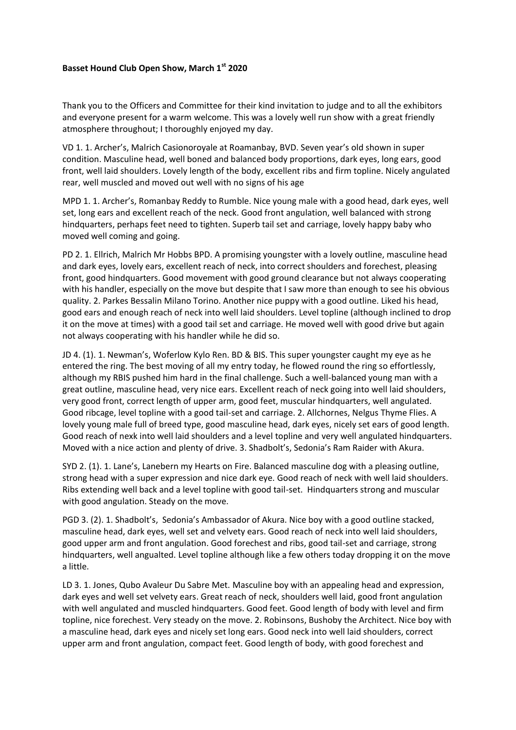## **Basset Hound Club Open Show, March 1st 2020**

Thank you to the Officers and Committee for their kind invitation to judge and to all the exhibitors and everyone present for a warm welcome. This was a lovely well run show with a great friendly atmosphere throughout; I thoroughly enjoyed my day.

VD 1. 1. Archer's, Malrich Casionoroyale at Roamanbay, BVD. Seven year's old shown in super condition. Masculine head, well boned and balanced body proportions, dark eyes, long ears, good front, well laid shoulders. Lovely length of the body, excellent ribs and firm topline. Nicely angulated rear, well muscled and moved out well with no signs of his age

MPD 1. 1. Archer's, Romanbay Reddy to Rumble. Nice young male with a good head, dark eyes, well set, long ears and excellent reach of the neck. Good front angulation, well balanced with strong hindquarters, perhaps feet need to tighten. Superb tail set and carriage, lovely happy baby who moved well coming and going.

PD 2. 1. Ellrich, Malrich Mr Hobbs BPD. A promising youngster with a lovely outline, masculine head and dark eyes, lovely ears, excellent reach of neck, into correct shoulders and forechest, pleasing front, good hindquarters. Good movement with good ground clearance but not always cooperating with his handler, especially on the move but despite that I saw more than enough to see his obvious quality. 2. Parkes Bessalin Milano Torino. Another nice puppy with a good outline. Liked his head, good ears and enough reach of neck into well laid shoulders. Level topline (although inclined to drop it on the move at times) with a good tail set and carriage. He moved well with good drive but again not always cooperating with his handler while he did so.

JD 4. (1). 1. Newman's, Woferlow Kylo Ren. BD & BIS. This super youngster caught my eye as he entered the ring. The best moving of all my entry today, he flowed round the ring so effortlessly, although my RBIS pushed him hard in the final challenge. Such a well-balanced young man with a great outline, masculine head, very nice ears. Excellent reach of neck going into well laid shoulders, very good front, correct length of upper arm, good feet, muscular hindquarters, well angulated. Good ribcage, level topline with a good tail-set and carriage. 2. Allchornes, Nelgus Thyme Flies. A lovely young male full of breed type, good masculine head, dark eyes, nicely set ears of good length. Good reach of nexk into well laid shoulders and a level topline and very well angulated hindquarters. Moved with a nice action and plenty of drive. 3. Shadbolt's, Sedonia's Ram Raider with Akura.

SYD 2. (1). 1. Lane's, Lanebern my Hearts on Fire. Balanced masculine dog with a pleasing outline, strong head with a super expression and nice dark eye. Good reach of neck with well laid shoulders. Ribs extending well back and a level topline with good tail-set. Hindquarters strong and muscular with good angulation. Steady on the move.

PGD 3. (2). 1. Shadbolt's, Sedonia's Ambassador of Akura. Nice boy with a good outline stacked, masculine head, dark eyes, well set and velvety ears. Good reach of neck into well laid shoulders, good upper arm and front angulation. Good forechest and ribs, good tail-set and carriage, strong hindquarters, well angualted. Level topline although like a few others today dropping it on the move a little.

LD 3. 1. Jones, Qubo Avaleur Du Sabre Met. Masculine boy with an appealing head and expression, dark eyes and well set velvety ears. Great reach of neck, shoulders well laid, good front angulation with well angulated and muscled hindquarters. Good feet. Good length of body with level and firm topline, nice forechest. Very steady on the move. 2. Robinsons, Bushoby the Architect. Nice boy with a masculine head, dark eyes and nicely set long ears. Good neck into well laid shoulders, correct upper arm and front angulation, compact feet. Good length of body, with good forechest and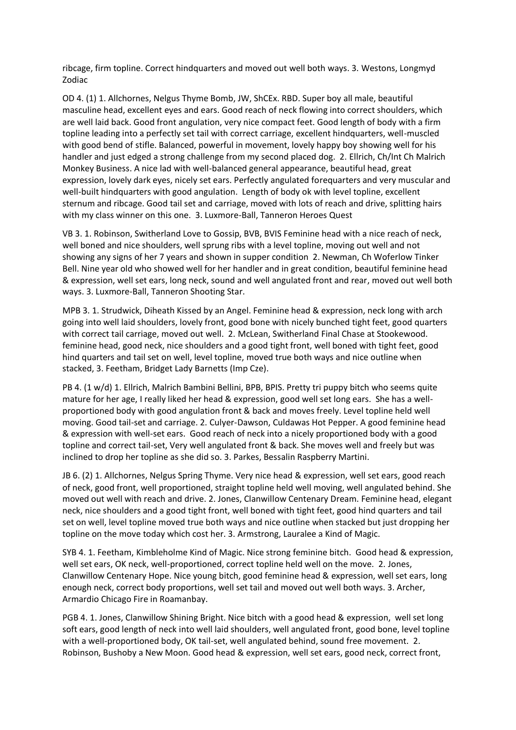ribcage, firm topline. Correct hindquarters and moved out well both ways. 3. Westons, Longmyd Zodiac

OD 4. (1) 1. Allchornes, Nelgus Thyme Bomb, JW, ShCEx. RBD. Super boy all male, beautiful masculine head, excellent eyes and ears. Good reach of neck flowing into correct shoulders, which are well laid back. Good front angulation, very nice compact feet. Good length of body with a firm topline leading into a perfectly set tail with correct carriage, excellent hindquarters, well-muscled with good bend of stifle. Balanced, powerful in movement, lovely happy boy showing well for his handler and just edged a strong challenge from my second placed dog. 2. Ellrich, Ch/Int Ch Malrich Monkey Business. A nice lad with well-balanced general appearance, beautiful head, great expression, lovely dark eyes, nicely set ears. Perfectly angulated forequarters and very muscular and well-built hindquarters with good angulation. Length of body ok with level topline, excellent sternum and ribcage. Good tail set and carriage, moved with lots of reach and drive, splitting hairs with my class winner on this one. 3. Luxmore-Ball, Tanneron Heroes Quest

VB 3. 1. Robinson, Switherland Love to Gossip, BVB, BVIS Feminine head with a nice reach of neck, well boned and nice shoulders, well sprung ribs with a level topline, moving out well and not showing any signs of her 7 years and shown in supper condition 2. Newman, Ch Woferlow Tinker Bell. Nine year old who showed well for her handler and in great condition, beautiful feminine head & expression, well set ears, long neck, sound and well angulated front and rear, moved out well both ways. 3. Luxmore-Ball, Tanneron Shooting Star.

MPB 3. 1. Strudwick, Diheath Kissed by an Angel. Feminine head & expression, neck long with arch going into well laid shoulders, lovely front, good bone with nicely bunched tight feet, good quarters with correct tail carriage, moved out well. 2. McLean, Switherland Final Chase at Stookewood. feminine head, good neck, nice shoulders and a good tight front, well boned with tight feet, good hind quarters and tail set on well, level topline, moved true both ways and nice outline when stacked, 3. Feetham, Bridget Lady Barnetts (Imp Cze).

PB 4. (1 w/d) 1. Ellrich, Malrich Bambini Bellini, BPB, BPIS. Pretty tri puppy bitch who seems quite mature for her age, I really liked her head & expression, good well set long ears. She has a wellproportioned body with good angulation front & back and moves freely. Level topline held well moving. Good tail-set and carriage. 2. Culyer-Dawson, Culdawas Hot Pepper. A good feminine head & expression with well-set ears. Good reach of neck into a nicely proportioned body with a good topline and correct tail-set, Very well angulated front & back. She moves well and freely but was inclined to drop her topline as she did so. 3. Parkes, Bessalin Raspberry Martini.

JB 6. (2) 1. Allchornes, Nelgus Spring Thyme. Very nice head & expression, well set ears, good reach of neck, good front, well proportioned, straight topline held well moving, well angulated behind. She moved out well with reach and drive. 2. Jones, Clanwillow Centenary Dream. Feminine head, elegant neck, nice shoulders and a good tight front, well boned with tight feet, good hind quarters and tail set on well, level topline moved true both ways and nice outline when stacked but just dropping her topline on the move today which cost her. 3. Armstrong, Lauralee a Kind of Magic.

SYB 4. 1. Feetham, Kimbleholme Kind of Magic. Nice strong feminine bitch. Good head & expression, well set ears, OK neck, well-proportioned, correct topline held well on the move. 2. Jones, Clanwillow Centenary Hope. Nice young bitch, good feminine head & expression, well set ears, long enough neck, correct body proportions, well set tail and moved out well both ways. 3. Archer, Armardio Chicago Fire in Roamanbay.

PGB 4. 1. Jones, Clanwillow Shining Bright. Nice bitch with a good head & expression, well set long soft ears, good length of neck into well laid shoulders, well angulated front, good bone, level topline with a well-proportioned body, OK tail-set, well angulated behind, sound free movement. 2. Robinson, Bushoby a New Moon. Good head & expression, well set ears, good neck, correct front,